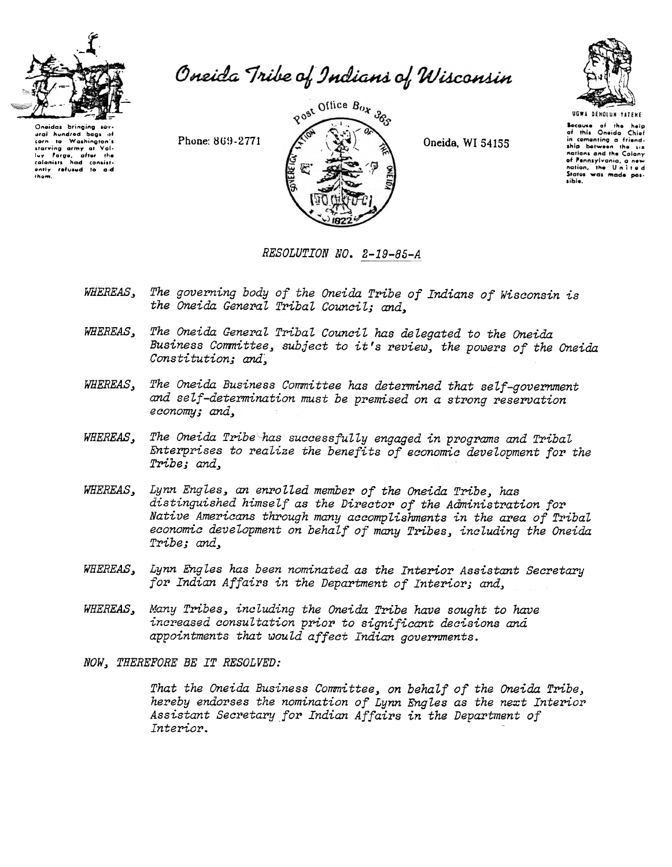

Oneida Tribe of Indians of Wisconsin

Oneidas bringing ural hundred bags of corn to Washington's lay Forge, after the<br>colonists had consist-<br>ently refused to aid<br>them.

Phone: 869-2771



Oneida, WI 54155



UGWA DEHOLUN TATENE Secause of the help<br>of this Oneida Chief or mis Unerture City. nations and the Colony of Pennsylvania, a new sible.

RESOLUTION NO. 2-19-85-A

- WHEREAS, The governing body of the Oneida Tribe of Indians of Wisconsin is the Oneida General Tribal Council; and.
- The Oneida General Tribal Council has delegated to the Oneida WHEREAS. Business Committee, subject to it's review, the powers of the Oneida Constitution; and,
- The Oneida Business Committee has determined that self-government WHEREAS. and self-determination must be premised on a strong reservation economy; and,
- The Oneida Tribe has successfully engaged in programs and Tribal WHEREAS, Enterprises to realize the benefits of economic development for the Tribe; and.
- WHEREAS, Lynn Engles, an enrolled member of the Oneida Tribe, has distinguished himself as the Director of the Administration for Native Americans through many accomplishments in the area of Tribal economic development on behalf of many Tribes, including the Oneida Tribe; and,
- Lynn Engles has been nominated as the Interior Assistant Secretary WHEREAS, for Indian Affairs in the Department of Interior; and,
- Many Tribes, including the Oneida Tribe have sought to have WHEREAS, increased consultation prior to significant decisions and appointments that would affect Indian governments.

NOW, THEREFORE BE IT RESOLVED:

That the Oneida Business Committee, on behalf of the Oneida Tribe, hereby endorses the nomination of Lynn Engles as the next Interior Assistant Secretary for Indian Affairs in the Department of Interior.